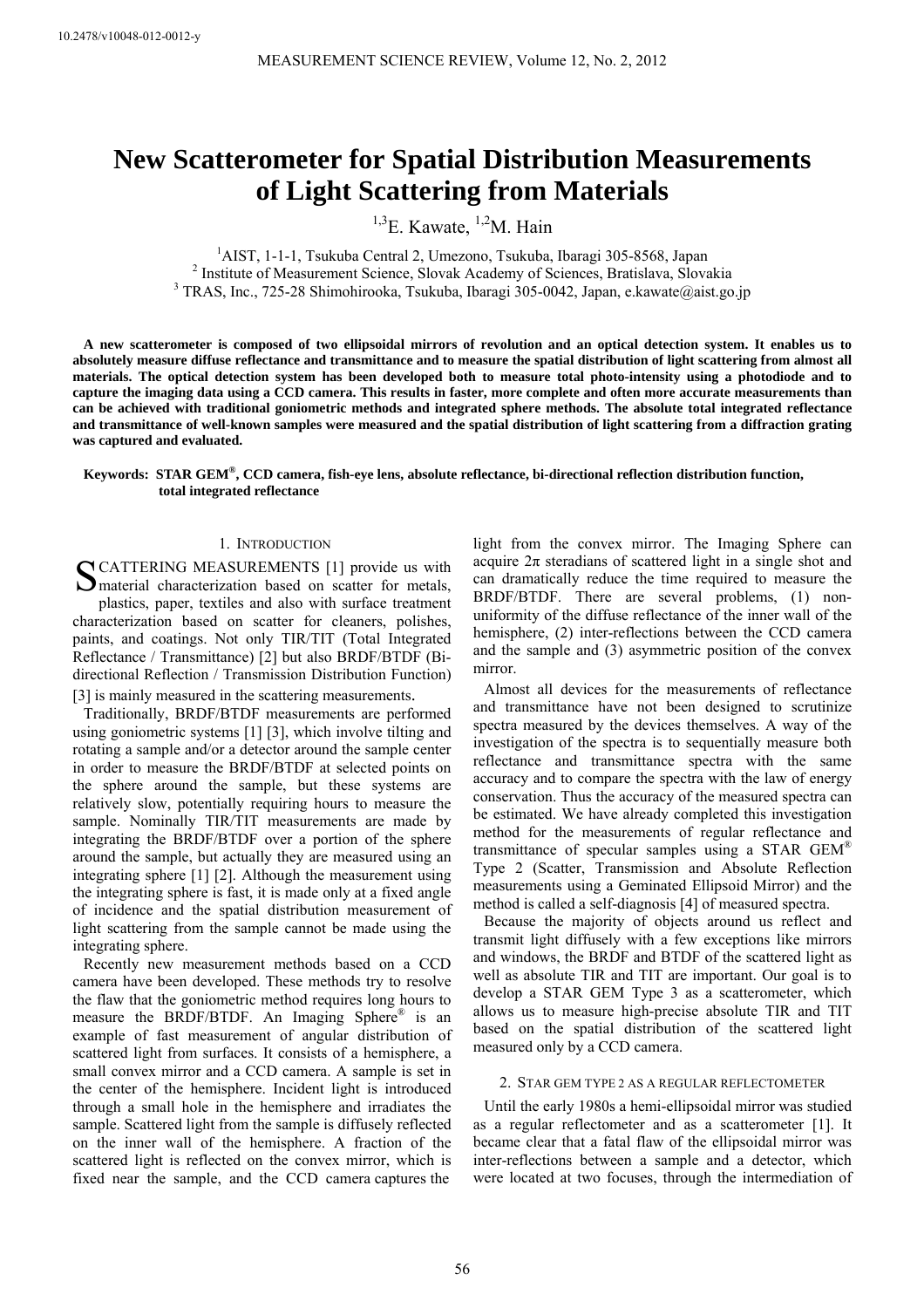# **New Scatterometer for Spatial Distribution Measurements of Light Scattering from Materials**

 $^{1,3}$ E. Kawate,  $^{1,2}$ M. Hain

<sup>1</sup>AIST, 1-1-1, Tsukuba Central 2, Umezono, Tsukuba, Ibaragi 305-8568, Japan <sup>2</sup> Institute of Measurement Sejange, Slovek Asademy of Sejanges, Pratislave, Slove <sup>2</sup> Institute of Measurement Science, Slovak Academy of Sciences, Bratislava, Slovakia <sup>3</sup> TRAS, Inc., 725-28 Shimohirooka, Tsukuba, Ibaragi 305-0042, Japan, e.kawate@aist.go.jp

**A new scatterometer is composed of two ellipsoidal mirrors of revolution and an optical detection system. It enables us to absolutely measure diffuse reflectance and transmittance and to measure the spatial distribution of light scattering from almost all materials. The optical detection system has been developed both to measure total photo-intensity using a photodiode and to capture the imaging data using a CCD camera. This results in faster, more complete and often more accurate measurements than can be achieved with traditional goniometric methods and integrated sphere methods. The absolute total integrated reflectance and transmittance of well-known samples were measured and the spatial distribution of light scattering from a diffraction grating was captured and evaluated.** 

# **Keywords: STAR GEM®, CCD camera, fish-eye lens, absolute reflectance, bi-directional reflection distribution function, total integrated reflectance**

#### 1. INTRODUCTION

SCATTERING MEASUREMENTS [1] provide us with<br>
Smaterial characterization based on scatter for metals, material characterization based on scatter for metals, plastics, paper, textiles and also with surface treatment characterization based on scatter for cleaners, polishes, paints, and coatings. Not only TIR/TIT (Total Integrated Reflectance / Transmittance) [2] but also BRDF/BTDF (Bidirectional Reflection / Transmission Distribution Function)

[3] is mainly measured in the scattering measurements. Traditionally, BRDF/BTDF measurements are performed using goniometric systems [1] [3], which involve tilting and rotating a sample and/or a detector around the sample center in order to measure the BRDF/BTDF at selected points on the sphere around the sample, but these systems are relatively slow, potentially requiring hours to measure the sample. Nominally TIR/TIT measurements are made by integrating the BRDF/BTDF over a portion of the sphere around the sample, but actually they are measured using an integrating sphere [1] [2]. Although the measurement using the integrating sphere is fast, it is made only at a fixed angle of incidence and the spatial distribution measurement of light scattering from the sample cannot be made using the integrating sphere.

Recently new measurement methods based on a CCD camera have been developed. These methods try to resolve the flaw that the goniometric method requires long hours to measure the BRDF/BTDF. An Imaging Sphere® is an example of fast measurement of angular distribution of scattered light from surfaces. It consists of a hemisphere, a small convex mirror and a CCD camera. A sample is set in the center of the hemisphere. Incident light is introduced through a small hole in the hemisphere and irradiates the sample. Scattered light from the sample is diffusely reflected on the inner wall of the hemisphere. A fraction of the scattered light is reflected on the convex mirror, which is fixed near the sample, and the CCD camera captures the

light from the convex mirror. The Imaging Sphere can acquire  $2\pi$  steradians of scattered light in a single shot and can dramatically reduce the time required to measure the BRDF/BTDF. There are several problems, (1) nonuniformity of the diffuse reflectance of the inner wall of the hemisphere, (2) inter-reflections between the CCD camera and the sample and (3) asymmetric position of the convex mirror.

Almost all devices for the measurements of reflectance and transmittance have not been designed to scrutinize spectra measured by the devices themselves. A way of the investigation of the spectra is to sequentially measure both reflectance and transmittance spectra with the same accuracy and to compare the spectra with the law of energy conservation. Thus the accuracy of the measured spectra can be estimated. We have already completed this investigation method for the measurements of regular reflectance and transmittance of specular samples using a STAR GEM® Type 2 (Scatter, Transmission and Absolute Reflection measurements using a Geminated Ellipsoid Mirror) and the method is called a self-diagnosis [4] of measured spectra.

Because the majority of objects around us reflect and transmit light diffusely with a few exceptions like mirrors and windows, the BRDF and BTDF of the scattered light as well as absolute TIR and TIT are important. Our goal is to develop a STAR GEM Type 3 as a scatterometer, which allows us to measure high-precise absolute TIR and TIT based on the spatial distribution of the scattered light measured only by a CCD camera.

## 2. STAR GEM TYPE 2 AS A REGULAR REFLECTOMETER

Until the early 1980s a hemi-ellipsoidal mirror was studied as a regular reflectometer and as a scatterometer [1]. It became clear that a fatal flaw of the ellipsoidal mirror was inter-reflections between a sample and a detector, which were located at two focuses, through the intermediation of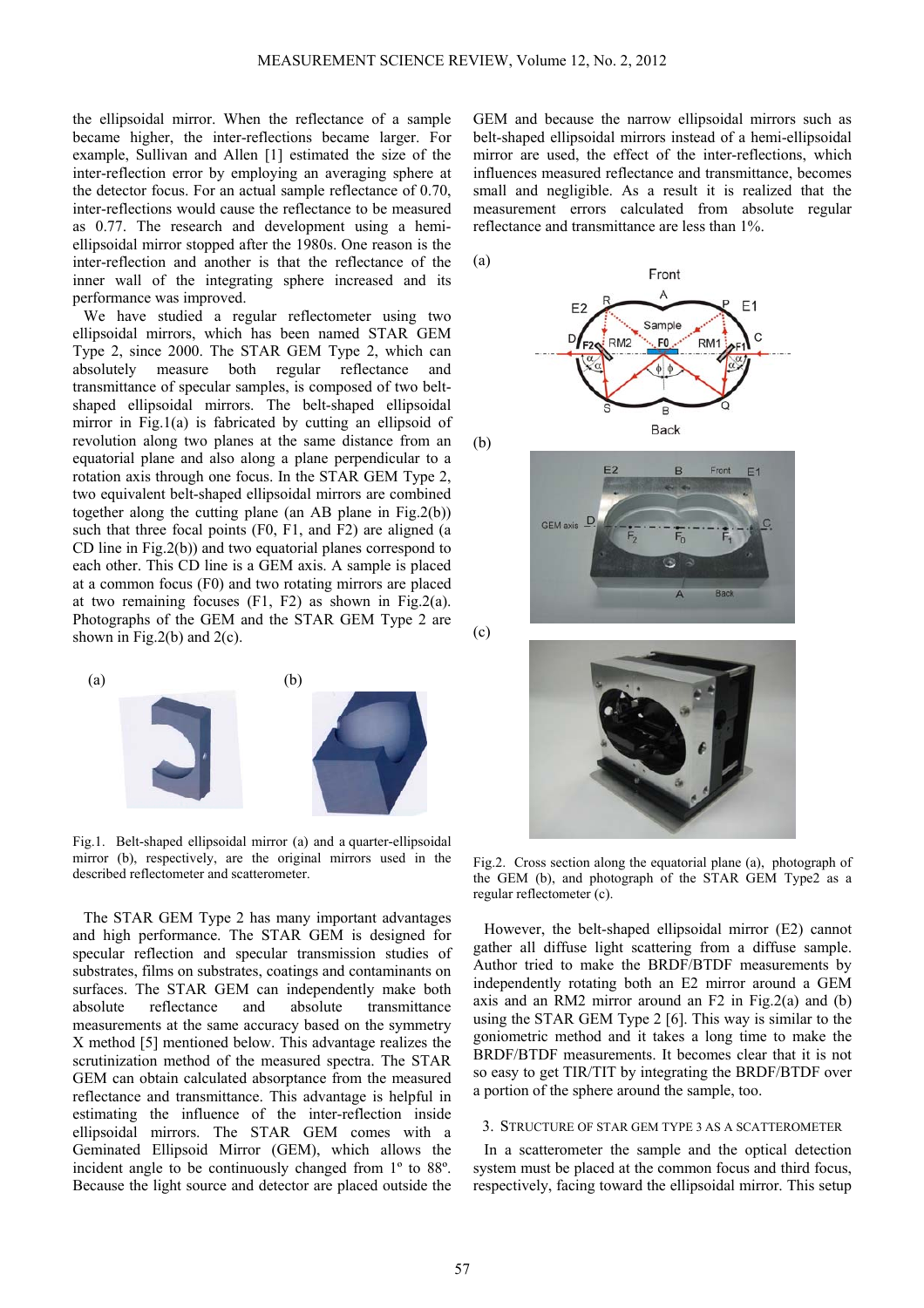the ellipsoidal mirror. When the reflectance of a sample became higher, the inter-reflections became larger. For example, Sullivan and Allen [1] estimated the size of the inter-reflection error by employing an averaging sphere at the detector focus. For an actual sample reflectance of 0.70, inter-reflections would cause the reflectance to be measured as 0.77. The research and development using a hemiellipsoidal mirror stopped after the 1980s. One reason is the inter-reflection and another is that the reflectance of the inner wall of the integrating sphere increased and its performance was improved.

We have studied a regular reflectometer using two ellipsoidal mirrors, which has been named STAR GEM Type 2, since 2000. The STAR GEM Type 2, which can absolutely measure both regular reflectance and transmittance of specular samples, is composed of two beltshaped ellipsoidal mirrors. The belt-shaped ellipsoidal mirror in Fig.1(a) is fabricated by cutting an ellipsoid of revolution along two planes at the same distance from an equatorial plane and also along a plane perpendicular to a rotation axis through one focus. In the STAR GEM Type 2, two equivalent belt-shaped ellipsoidal mirrors are combined together along the cutting plane (an AB plane in Fig.2(b)) such that three focal points (F0, F1, and F2) are aligned (a CD line in Fig.2(b)) and two equatorial planes correspond to each other. This CD line is a GEM axis. A sample is placed at a common focus (F0) and two rotating mirrors are placed at two remaining focuses (F1, F2) as shown in Fig.2(a). Photographs of the GEM and the STAR GEM Type 2 are shown in Fig.2(b) and  $2(c)$ .



Fig.1. Belt-shaped ellipsoidal mirror (a) and a quarter-ellipsoidal mirror (b), respectively, are the original mirrors used in the described reflectometer and scatterometer.

The STAR GEM Type 2 has many important advantages and high performance. The STAR GEM is designed for specular reflection and specular transmission studies of substrates, films on substrates, coatings and contaminants on surfaces. The STAR GEM can independently make both absolute reflectance and absolute transmittance measurements at the same accuracy based on the symmetry X method [5] mentioned below. This advantage realizes the scrutinization method of the measured spectra. The STAR GEM can obtain calculated absorptance from the measured reflectance and transmittance. This advantage is helpful in estimating the influence of the inter-reflection inside ellipsoidal mirrors. The STAR GEM comes with a Geminated Ellipsoid Mirror (GEM), which allows the incident angle to be continuously changed from 1º to 88º. Because the light source and detector are placed outside the

GEM and because the narrow ellipsoidal mirrors such as belt-shaped ellipsoidal mirrors instead of a hemi-ellipsoidal mirror are used, the effect of the inter-reflections, which influences measured reflectance and transmittance, becomes small and negligible. As a result it is realized that the measurement errors calculated from absolute regular reflectance and transmittance are less than 1%.









Fig.2. Cross section along the equatorial plane (a), photograph of the GEM (b), and photograph of the STAR GEM Type2 as a regular reflectometer (c).

However, the belt-shaped ellipsoidal mirror (E2) cannot gather all diffuse light scattering from a diffuse sample. Author tried to make the BRDF/BTDF measurements by independently rotating both an E2 mirror around a GEM axis and an RM2 mirror around an  $F2$  in Fig.2(a) and (b) using the STAR GEM Type 2 [6]. This way is similar to the goniometric method and it takes a long time to make the BRDF/BTDF measurements. It becomes clear that it is not so easy to get TIR/TIT by integrating the BRDF/BTDF over a portion of the sphere around the sample, too.

## 3. STRUCTURE OF STAR GEM TYPE 3 AS A SCATTEROMETER

In a scatterometer the sample and the optical detection system must be placed at the common focus and third focus, respectively, facing toward the ellipsoidal mirror. This setup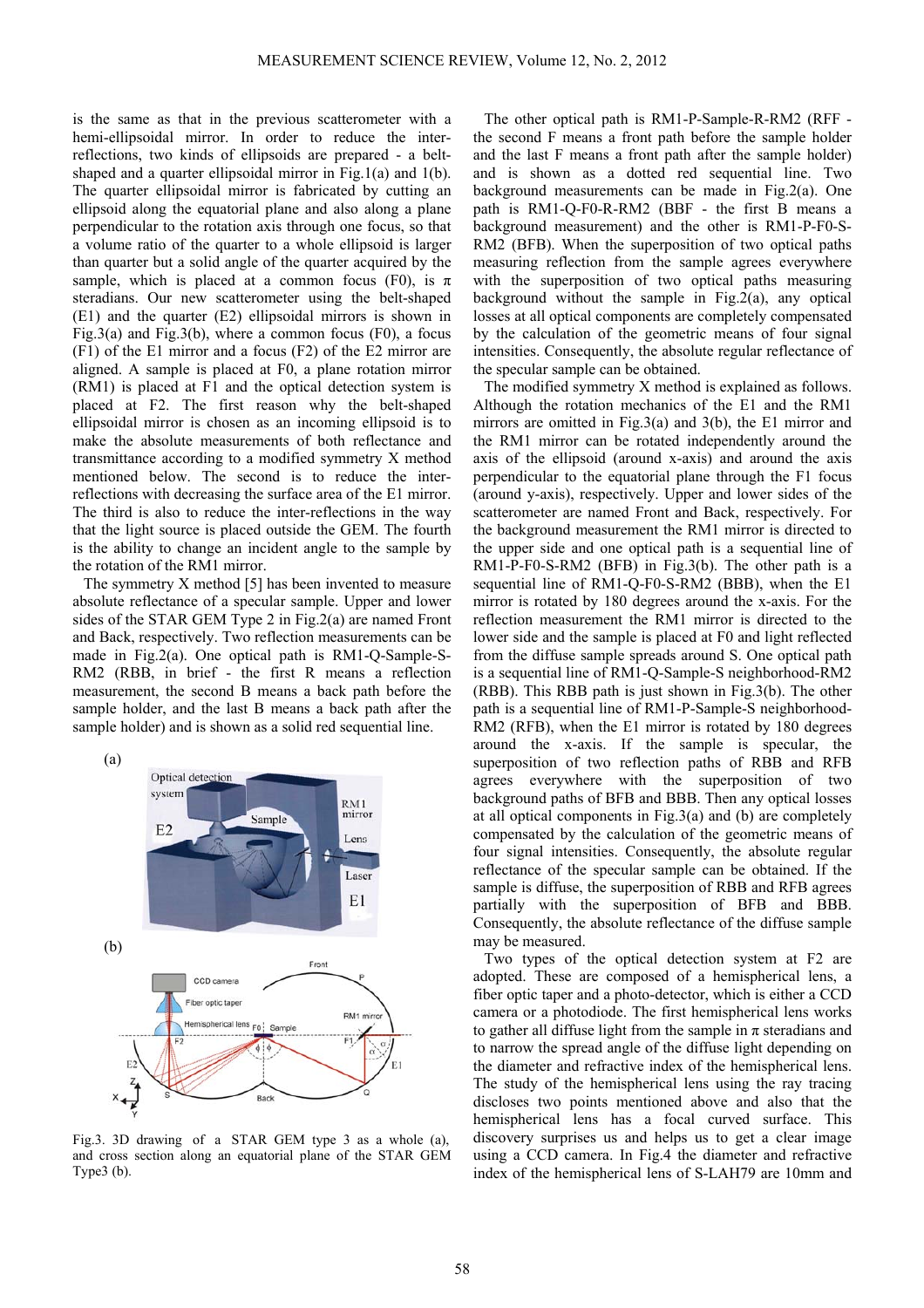is the same as that in the previous scatterometer with a hemi-ellipsoidal mirror. In order to reduce the interreflections, two kinds of ellipsoids are prepared - a beltshaped and a quarter ellipsoidal mirror in Fig.1(a) and 1(b). The quarter ellipsoidal mirror is fabricated by cutting an ellipsoid along the equatorial plane and also along a plane perpendicular to the rotation axis through one focus, so that a volume ratio of the quarter to a whole ellipsoid is larger than quarter but a solid angle of the quarter acquired by the sample, which is placed at a common focus (F0), is  $\pi$ steradians. Our new scatterometer using the belt-shaped (E1) and the quarter (E2) ellipsoidal mirrors is shown in Fig.3(a) and Fig.3(b), where a common focus (F0), a focus (F1) of the E1 mirror and a focus (F2) of the E2 mirror are aligned. A sample is placed at F0, a plane rotation mirror (RM1) is placed at F1 and the optical detection system is placed at F2. The first reason why the belt-shaped ellipsoidal mirror is chosen as an incoming ellipsoid is to make the absolute measurements of both reflectance and transmittance according to a modified symmetry X method mentioned below. The second is to reduce the interreflections with decreasing the surface area of the E1 mirror. The third is also to reduce the inter-reflections in the way that the light source is placed outside the GEM. The fourth is the ability to change an incident angle to the sample by the rotation of the RM1 mirror.

The symmetry X method [5] has been invented to measure absolute reflectance of a specular sample. Upper and lower sides of the STAR GEM Type 2 in Fig.2(a) are named Front and Back, respectively. Two reflection measurements can be made in Fig.2(a). One optical path is RM1-Q-Sample-S-RM2 (RBB, in brief - the first R means a reflection measurement, the second B means a back path before the sample holder, and the last B means a back path after the sample holder) and is shown as a solid red sequential line.



Fig.3. 3D drawing of a STAR GEM type 3 as a whole (a), and cross section along an equatorial plane of the STAR GEM Type3 (b).

The other optical path is RM1-P-Sample-R-RM2 (RFF the second F means a front path before the sample holder and the last F means a front path after the sample holder) and is shown as a dotted red sequential line. Two background measurements can be made in Fig.2(a). One path is RM1-Q-F0-R-RM2 (BBF - the first B means a background measurement) and the other is RM1-P-F0-S-RM2 (BFB). When the superposition of two optical paths measuring reflection from the sample agrees everywhere with the superposition of two optical paths measuring background without the sample in Fig.2(a), any optical losses at all optical components are completely compensated by the calculation of the geometric means of four signal intensities. Consequently, the absolute regular reflectance of the specular sample can be obtained.

The modified symmetry X method is explained as follows. Although the rotation mechanics of the E1 and the RM1 mirrors are omitted in Fig.3(a) and 3(b), the E1 mirror and the RM1 mirror can be rotated independently around the axis of the ellipsoid (around x-axis) and around the axis perpendicular to the equatorial plane through the F1 focus (around y-axis), respectively. Upper and lower sides of the scatterometer are named Front and Back, respectively. For the background measurement the RM1 mirror is directed to the upper side and one optical path is a sequential line of RM1-P-F0-S-RM2 (BFB) in Fig.3(b). The other path is a sequential line of RM1-Q-F0-S-RM2 (BBB), when the E1 mirror is rotated by 180 degrees around the x-axis. For the reflection measurement the RM1 mirror is directed to the lower side and the sample is placed at F0 and light reflected from the diffuse sample spreads around S. One optical path is a sequential line of RM1-Q-Sample-S neighborhood-RM2 (RBB). This RBB path is just shown in Fig.3(b). The other path is a sequential line of RM1-P-Sample-S neighborhood-RM2 (RFB), when the E1 mirror is rotated by 180 degrees around the x-axis. If the sample is specular, the superposition of two reflection paths of RBB and RFB agrees everywhere with the superposition of two background paths of BFB and BBB. Then any optical losses at all optical components in Fig.3(a) and (b) are completely compensated by the calculation of the geometric means of four signal intensities. Consequently, the absolute regular reflectance of the specular sample can be obtained. If the sample is diffuse, the superposition of RBB and RFB agrees partially with the superposition of BFB and BBB. Consequently, the absolute reflectance of the diffuse sample may be measured.

Two types of the optical detection system at F2 are adopted. These are composed of a hemispherical lens, a fiber optic taper and a photo-detector, which is either a CCD camera or a photodiode. The first hemispherical lens works to gather all diffuse light from the sample in  $\pi$  steradians and to narrow the spread angle of the diffuse light depending on the diameter and refractive index of the hemispherical lens. The study of the hemispherical lens using the ray tracing discloses two points mentioned above and also that the hemispherical lens has a focal curved surface. This discovery surprises us and helps us to get a clear image using a CCD camera. In Fig.4 the diameter and refractive index of the hemispherical lens of S-LAH79 are 10mm and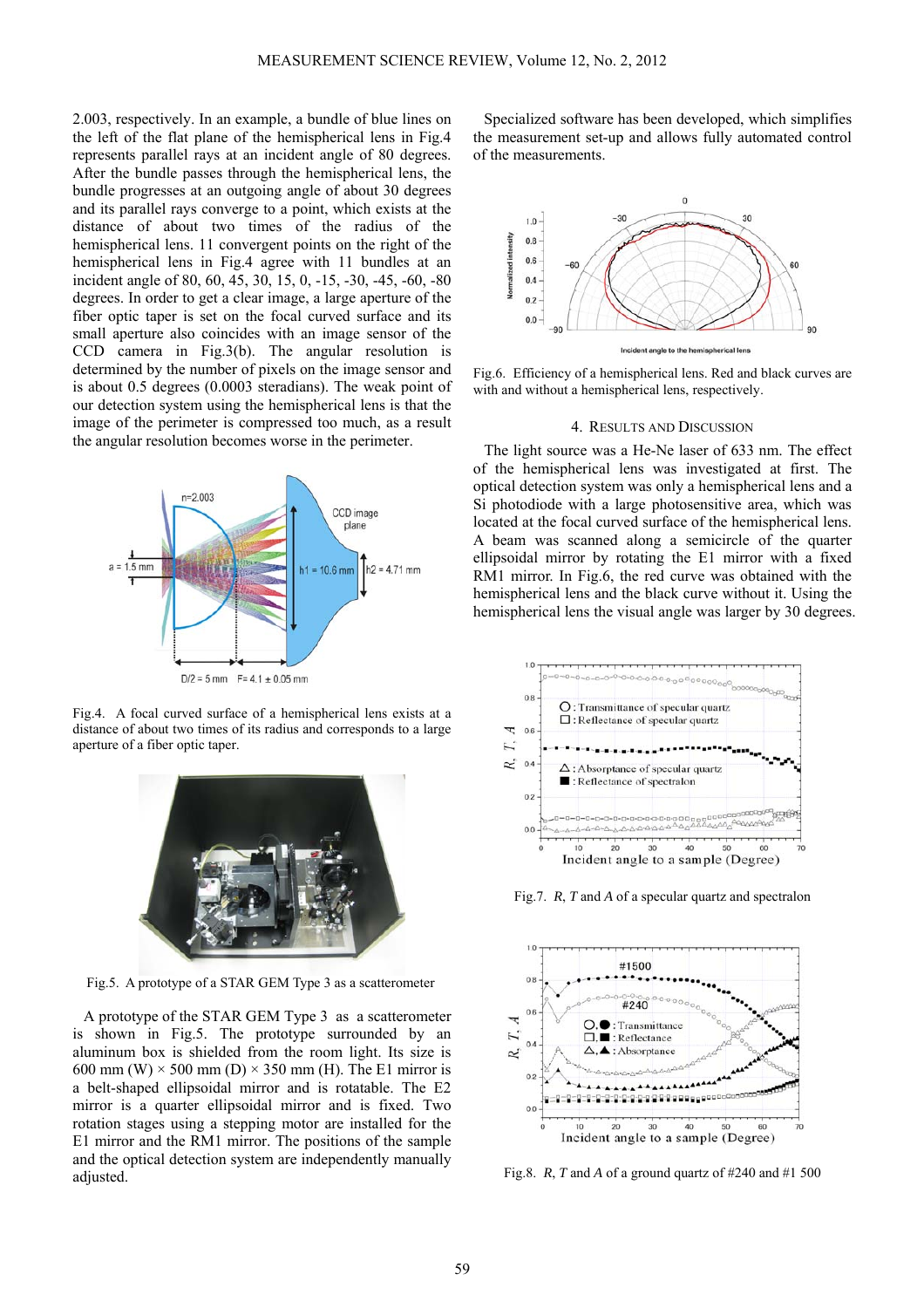2.003, respectively. In an example, a bundle of blue lines on the left of the flat plane of the hemispherical lens in Fig.4 represents parallel rays at an incident angle of 80 degrees. After the bundle passes through the hemispherical lens, the bundle progresses at an outgoing angle of about 30 degrees and its parallel rays converge to a point, which exists at the distance of about two times of the radius of the hemispherical lens. 11 convergent points on the right of the hemispherical lens in Fig.4 agree with 11 bundles at an incident angle of 80, 60, 45, 30, 15, 0, -15, -30, -45, -60, -80 degrees. In order to get a clear image, a large aperture of the fiber optic taper is set on the focal curved surface and its small aperture also coincides with an image sensor of the CCD camera in Fig.3(b). The angular resolution is determined by the number of pixels on the image sensor and is about 0.5 degrees (0.0003 steradians). The weak point of our detection system using the hemispherical lens is that the image of the perimeter is compressed too much, as a result the angular resolution becomes worse in the perimeter.



Fig.4. A focal curved surface of a hemispherical lens exists at a distance of about two times of its radius and corresponds to a large aperture of a fiber optic taper.



Fig.5. A prototype of a STAR GEM Type 3 as a scatterometer

A prototype of the STAR GEM Type 3 as a scatterometer is shown in Fig.5. The prototype surrounded by an aluminum box is shielded from the room light. Its size is 600 mm (W)  $\times$  500 mm (D)  $\times$  350 mm (H). The E1 mirror is a belt-shaped ellipsoidal mirror and is rotatable. The E2 mirror is a quarter ellipsoidal mirror and is fixed. Two rotation stages using a stepping motor are installed for the E1 mirror and the RM1 mirror. The positions of the sample and the optical detection system are independently manually adjusted.

Specialized software has been developed, which simplifies the measurement set-up and allows fully automated control of the measurements.



Fig.6. Efficiency of a hemispherical lens. Red and black curves are with and without a hemispherical lens, respectively.

#### 4. RESULTS AND DISCUSSION

The light source was a He-Ne laser of 633 nm. The effect of the hemispherical lens was investigated at first. The optical detection system was only a hemispherical lens and a Si photodiode with a large photosensitive area, which was located at the focal curved surface of the hemispherical lens. A beam was scanned along a semicircle of the quarter ellipsoidal mirror by rotating the E1 mirror with a fixed RM1 mirror. In Fig.6, the red curve was obtained with the hemispherical lens and the black curve without it. Using the hemispherical lens the visual angle was larger by 30 degrees.



Fig.7. *R*, *T* and *A* of a specular quartz and spectralon



Fig.8. *R*, *T* and *A* of a ground quartz of #240 and #1 500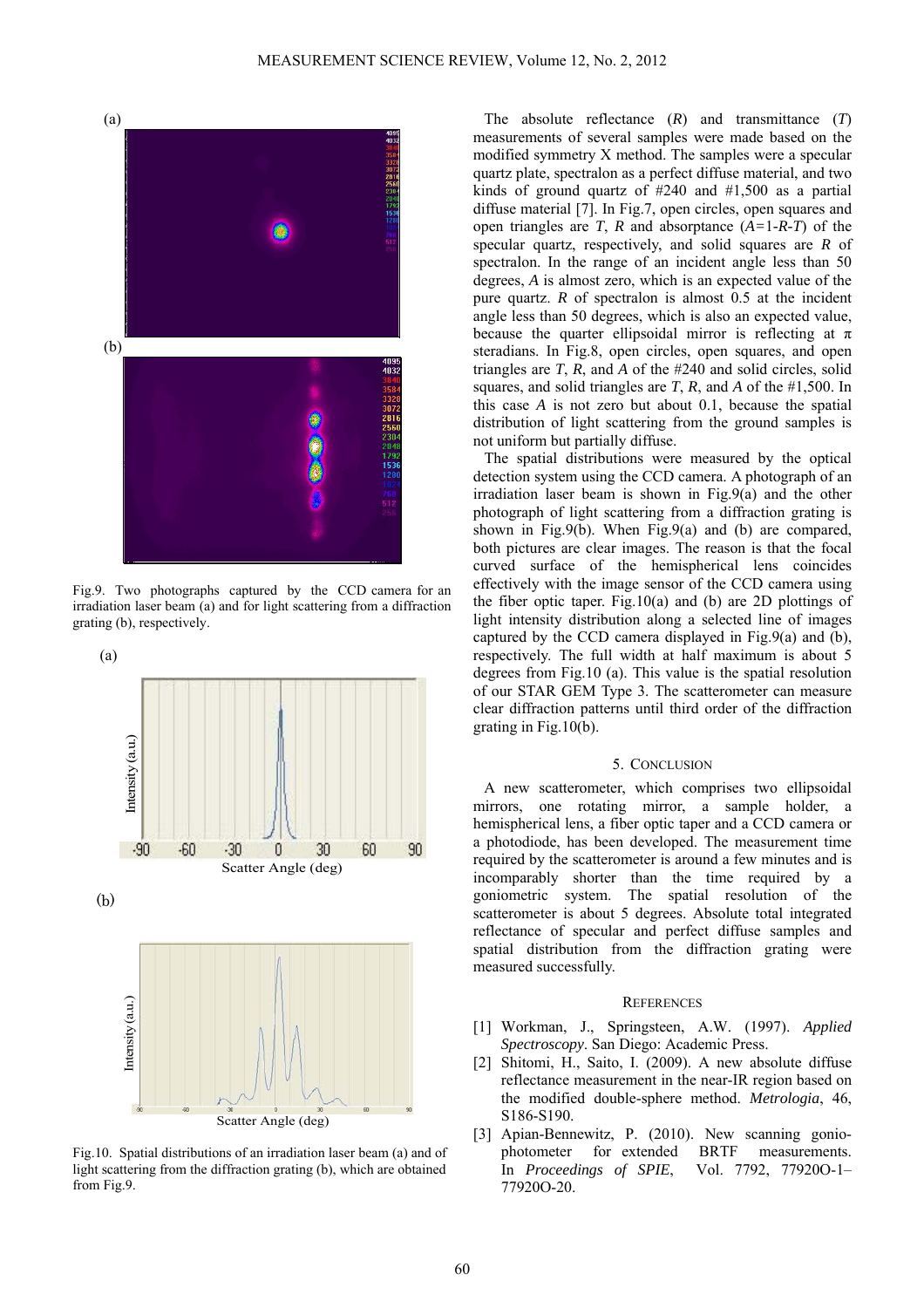

Fig.9. Two photographs captured by the CCD camera for an irradiation laser beam (a) and for light scattering from a diffraction grating (b), respectively.



Fig.10. Spatial distributions of an irradiation laser beam (a) and of light scattering from the diffraction grating (b), which are obtained from Fig.9.

The absolute reflectance (*R*) and transmittance (*T*) measurements of several samples were made based on the modified symmetry X method. The samples were a specular quartz plate, spectralon as a perfect diffuse material, and two kinds of ground quartz of #240 and #1,500 as a partial diffuse material [7]. In Fig.7, open circles, open squares and open triangles are *T*, *R* and absorptance (*A=*1*-R-T*) of the specular quartz, respectively, and solid squares are *R* of spectralon. In the range of an incident angle less than 50 degrees, *A* is almost zero, which is an expected value of the pure quartz. *R* of spectralon is almost 0.5 at the incident angle less than 50 degrees, which is also an expected value, because the quarter ellipsoidal mirror is reflecting at  $\pi$ steradians. In Fig.8, open circles, open squares, and open triangles are *T*, *R*, and *A* of the #240 and solid circles, solid squares, and solid triangles are *T*, *R*, and *A* of the #1,500. In this case *A* is not zero but about 0.1, because the spatial distribution of light scattering from the ground samples is not uniform but partially diffuse.

The spatial distributions were measured by the optical detection system using the CCD camera. A photograph of an irradiation laser beam is shown in Fig.9(a) and the other photograph of light scattering from a diffraction grating is shown in Fig.9(b). When Fig.9(a) and (b) are compared, both pictures are clear images. The reason is that the focal curved surface of the hemispherical lens coincides effectively with the image sensor of the CCD camera using the fiber optic taper. Fig.10(a) and (b) are 2D plottings of light intensity distribution along a selected line of images captured by the CCD camera displayed in Fig.9(a) and (b), respectively. The full width at half maximum is about 5 degrees from Fig.10 (a). This value is the spatial resolution of our STAR GEM Type 3. The scatterometer can measure clear diffraction patterns until third order of the diffraction grating in Fig.10(b).

# 5. CONCLUSION

A new scatterometer, which comprises two ellipsoidal mirrors, one rotating mirror, a sample holder, a hemispherical lens, a fiber optic taper and a CCD camera or a photodiode, has been developed. The measurement time required by the scatterometer is around a few minutes and is incomparably shorter than the time required by a goniometric system. The spatial resolution of the scatterometer is about 5 degrees. Absolute total integrated reflectance of specular and perfect diffuse samples and spatial distribution from the diffraction grating were measured successfully.

### **REFERENCES**

- [1] Workman, J., Springsteen, A.W. (1997). *Applied Spectroscopy*. San Diego: Academic Press.
- [2] Shitomi, H., Saito, I. (2009). A new absolute diffuse reflectance measurement in the near-IR region based on the modified double-sphere method. *Metrologia*, 46, S186-S190.
- [3] Apian-Bennewitz, P. (2010). New scanning goniophotometer for extended BRTF measurements. In *Proceedings of SPIE*, Vol. 7792, 77920O-1– 77920O-20.